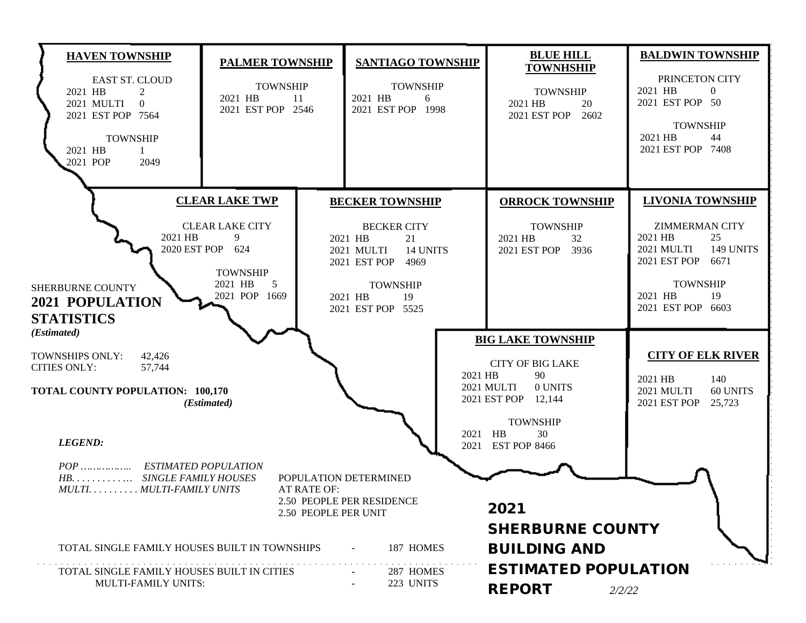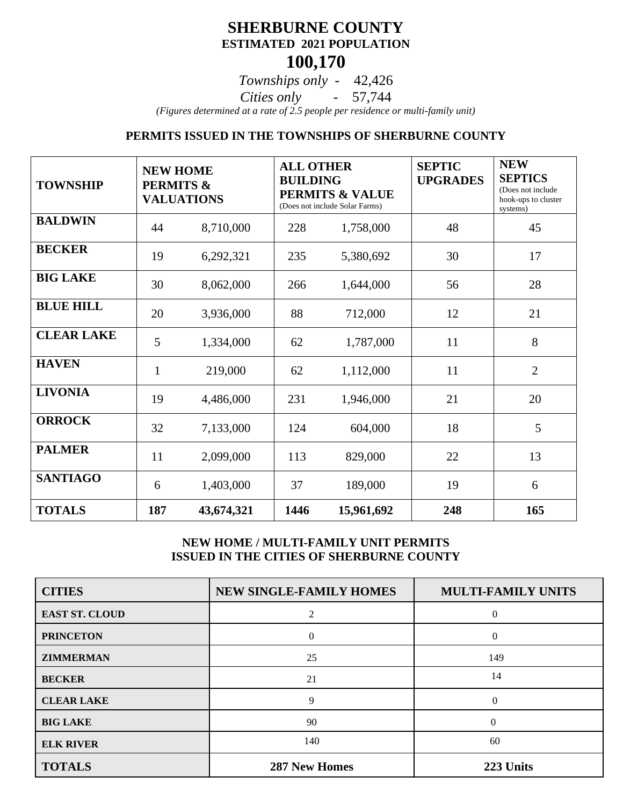## **SHERBURNE COUNTY ESTIMATED 2021 POPULATION 100,170**

*Townships only* - 42,426

*Cities only* - 57,744

*(Figures determined at a rate of 2.5 people per residence or multi-family unit)*

#### **PERMITS ISSUED IN THE TOWNSHIPS OF SHERBURNE COUNTY**

| <b>TOWNSHIP</b>   | <b>NEW HOME</b><br><b>PERMITS &amp;</b><br><b>VALUATIONS</b> |            | <b>ALL OTHER</b><br><b>BUILDING</b><br><b>PERMITS &amp; VALUE</b><br>(Does not include Solar Farms) |            | <b>SEPTIC</b><br><b>UPGRADES</b> | <b>NEW</b><br><b>SEPTICS</b><br>(Does not include<br>hook-ups to cluster<br>systems) |
|-------------------|--------------------------------------------------------------|------------|-----------------------------------------------------------------------------------------------------|------------|----------------------------------|--------------------------------------------------------------------------------------|
| <b>BALDWIN</b>    | 44                                                           | 8,710,000  | 228                                                                                                 | 1,758,000  | 48                               | 45                                                                                   |
| <b>BECKER</b>     | 19                                                           | 6,292,321  | 235                                                                                                 | 5,380,692  | 30                               | 17                                                                                   |
| <b>BIG LAKE</b>   | 30                                                           | 8,062,000  | 266                                                                                                 | 1,644,000  | 56                               | 28                                                                                   |
| <b>BLUE HILL</b>  | 20                                                           | 3,936,000  | 88                                                                                                  | 712,000    | 12                               | 21                                                                                   |
| <b>CLEAR LAKE</b> | 5                                                            | 1,334,000  | 62                                                                                                  | 1,787,000  | 11                               | 8                                                                                    |
| <b>HAVEN</b>      | $\mathbf{1}$                                                 | 219,000    | 62                                                                                                  | 1,112,000  | 11                               | $\overline{2}$                                                                       |
| <b>LIVONIA</b>    | 19                                                           | 4,486,000  | 231                                                                                                 | 1,946,000  | 21                               | 20                                                                                   |
| <b>ORROCK</b>     | 32                                                           | 7,133,000  | 124                                                                                                 | 604,000    | 18                               | 5                                                                                    |
| <b>PALMER</b>     | 11                                                           | 2,099,000  | 113                                                                                                 | 829,000    | 22                               | 13                                                                                   |
| <b>SANTIAGO</b>   | 6                                                            | 1,403,000  | 37                                                                                                  | 189,000    | 19                               | 6                                                                                    |
| <b>TOTALS</b>     | 187                                                          | 43,674,321 | 1446                                                                                                | 15,961,692 | 248                              | 165                                                                                  |

#### **NEW HOME / MULTI-FAMILY UNIT PERMITS ISSUED IN THE CITIES OF SHERBURNE COUNTY**

| <b>CITIES</b>         | <b>NEW SINGLE-FAMILY HOMES</b> | <b>MULTI-FAMILY UNITS</b> |  |
|-----------------------|--------------------------------|---------------------------|--|
| <b>EAST ST. CLOUD</b> | $\mathfrak{D}$                 | $\Omega$                  |  |
| <b>PRINCETON</b>      | $\theta$                       | $\theta$                  |  |
| <b>ZIMMERMAN</b>      | 25                             | 149                       |  |
| <b>BECKER</b>         | 21                             | 14                        |  |
| <b>CLEAR LAKE</b>     | 9                              | $\Omega$                  |  |
| <b>BIG LAKE</b>       | 90                             | $\Omega$                  |  |
| <b>ELK RIVER</b>      | 140                            | 60                        |  |
| <b>TOTALS</b>         | <b>287 New Homes</b>           | 223 Units                 |  |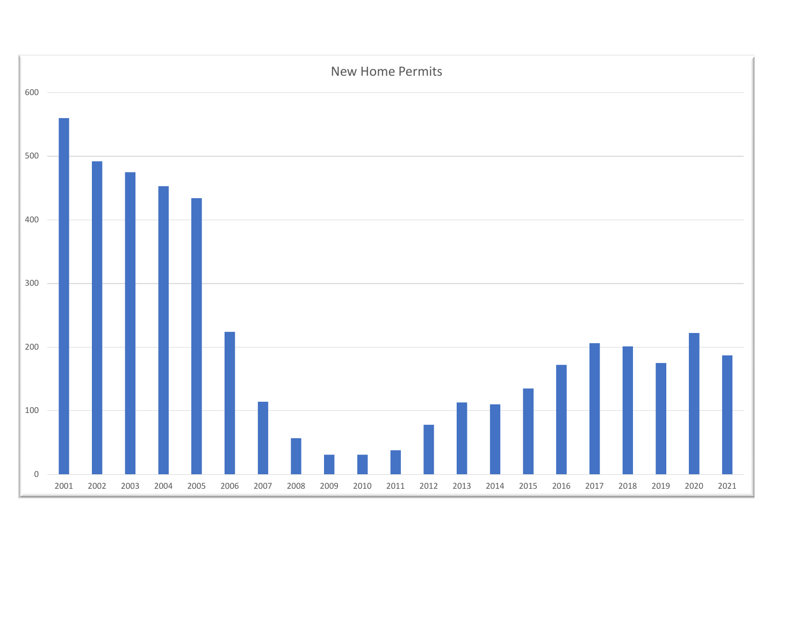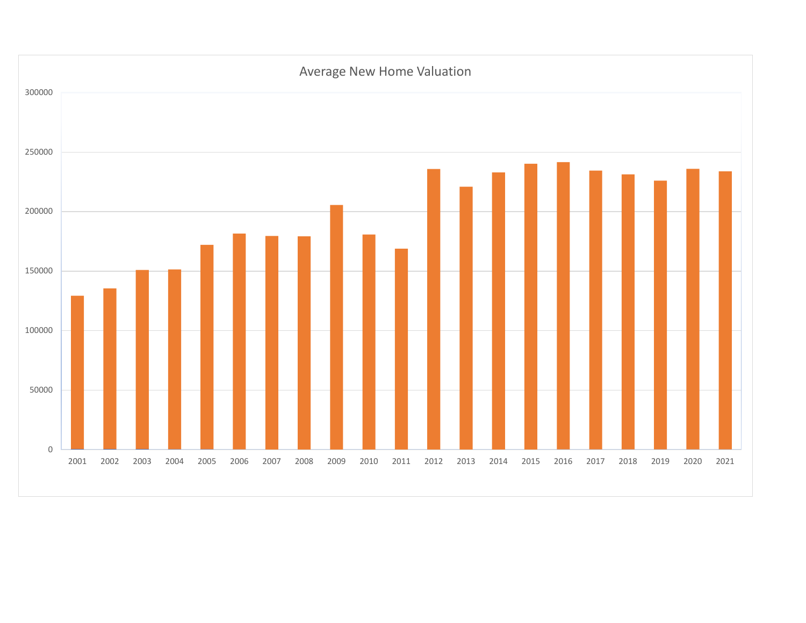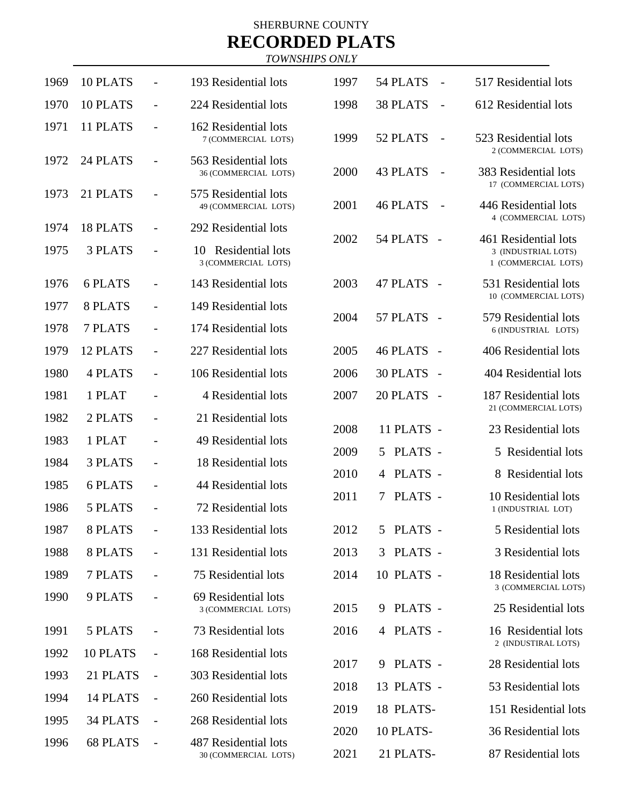# SHERBURNE COUNTY **RECORDED PLATS**

*TOWNSHIPS ONLY* 

| 1969 | 10 PLATS |                          | 193 Residential lots                          | 1997 | 54 PLATS<br>$\overline{\phantom{a}}$        | 517 Residential lots                                                |
|------|----------|--------------------------|-----------------------------------------------|------|---------------------------------------------|---------------------------------------------------------------------|
| 1970 | 10 PLATS | $\overline{\phantom{a}}$ | 224 Residential lots                          | 1998 | <b>38 PLATS</b><br>$\overline{\phantom{a}}$ | 612 Residential lots                                                |
| 1971 | 11 PLATS | $\overline{\phantom{a}}$ | 162 Residential lots<br>7 (COMMERCIAL LOTS)   | 1999 | 52 PLATS<br>$\overline{\phantom{a}}$        | 523 Residential lots                                                |
| 1972 | 24 PLATS | $\overline{\phantom{a}}$ | 563 Residential lots<br>36 (COMMERCIAL LOTS)  | 2000 | <b>43 PLATS</b><br>$\overline{\phantom{0}}$ | 2 (COMMERCIAL LOTS)<br>383 Residential lots<br>17 (COMMERCIAL LOTS) |
| 1973 | 21 PLATS |                          | 575 Residential lots<br>49 (COMMERCIAL LOTS)  | 2001 | <b>46 PLATS</b><br>$\overline{\phantom{a}}$ | 446 Residential lots                                                |
| 1974 | 18 PLATS | $\overline{\phantom{a}}$ | 292 Residential lots                          | 2002 | 54 PLATS                                    | 4 (COMMERCIAL LOTS)<br>461 Residential lots                         |
| 1975 | 3 PLATS  |                          | Residential lots<br>10<br>3 (COMMERCIAL LOTS) |      | $\overline{\phantom{a}}$                    | 3 (INDUSTRIAL LOTS)<br>1 (COMMERCIAL LOTS)                          |
| 1976 | 6 PLATS  | $\overline{\phantom{a}}$ | 143 Residential lots                          | 2003 | 47 PLATS<br>$\sim$                          | 531 Residential lots                                                |
| 1977 | 8 PLATS  | $\overline{\phantom{a}}$ | 149 Residential lots                          |      | 57 PLATS                                    | 10 (COMMERCIAL LOTS)<br>579 Residential lots                        |
| 1978 | 7 PLATS  | $\overline{\phantom{a}}$ | 174 Residential lots                          | 2004 | $\sim$                                      | 6 (INDUSTRIAL LOTS)                                                 |
| 1979 | 12 PLATS | $\overline{\phantom{a}}$ | 227 Residential lots                          | 2005 | <b>46 PLATS</b><br>$\sim$                   | 406 Residential lots                                                |
| 1980 | 4 PLATS  | $\overline{\phantom{a}}$ | 106 Residential lots                          | 2006 | <b>30 PLATS</b><br>$\overline{a}$           | 404 Residential lots                                                |
| 1981 | 1 PLAT   |                          | 4 Residential lots                            | 2007 | 20 PLATS<br>$\sim$                          | 187 Residential lots                                                |
| 1982 | 2 PLATS  | $\overline{\phantom{a}}$ | 21 Residential lots                           | 2008 | 11 PLATS -                                  | 21 (COMMERCIAL LOTS)<br>23 Residential lots                         |
| 1983 | 1 PLAT   | $\overline{\phantom{a}}$ | 49 Residential lots                           |      | PLATS -                                     | 5 Residential lots                                                  |
| 1984 | 3 PLATS  | $\overline{\phantom{a}}$ | 18 Residential lots                           | 2009 | 5                                           | 8 Residential lots                                                  |
| 1985 | 6 PLATS  |                          | 44 Residential lots                           | 2010 | PLATS -<br>4                                |                                                                     |
| 1986 | 5 PLATS  |                          | 72 Residential lots                           | 2011 | PLATS -<br>7                                | 10 Residential lots<br>1 (INDUSTRIAL LOT)                           |
| 1987 | 8 PLATS  |                          | 133 Residential lots                          | 2012 | 5 PLATS -                                   | 5 Residential lots                                                  |
| 1988 | 8 PLATS  |                          | 131 Residential lots                          | 2013 | PLATS -<br>3                                | 3 Residential lots                                                  |
| 1989 | 7 PLATS  |                          | 75 Residential lots                           | 2014 | 10 PLATS -                                  | 18 Residential lots                                                 |
| 1990 | 9 PLATS  |                          | 69 Residential lots<br>3 (COMMERCIAL LOTS)    | 2015 | PLATS -<br>9                                | 3 (COMMERCIAL LOTS)<br>25 Residential lots                          |
| 1991 | 5 PLATS  |                          | 73 Residential lots                           | 2016 | 4 PLATS -                                   | 16 Residential lots                                                 |
| 1992 | 10 PLATS |                          | 168 Residential lots                          |      |                                             | 2 (INDUSTIRAL LOTS)                                                 |
| 1993 | 21 PLATS |                          | 303 Residential lots                          | 2017 | PLATS -<br>9                                | 28 Residential lots                                                 |
| 1994 | 14 PLATS |                          | 260 Residential lots                          | 2018 | 13 PLATS -                                  | 53 Residential lots                                                 |
| 1995 | 34 PLATS |                          | 268 Residential lots                          | 2019 | 18 PLATS-                                   | 151 Residential lots                                                |
| 1996 | 68 PLATS | $\overline{\phantom{a}}$ | 487 Residential lots                          | 2020 | 10 PLATS-                                   | 36 Residential lots                                                 |
|      |          |                          | 30 (COMMERCIAL LOTS)                          | 2021 | 21 PLATS-                                   | 87 Residential lots                                                 |